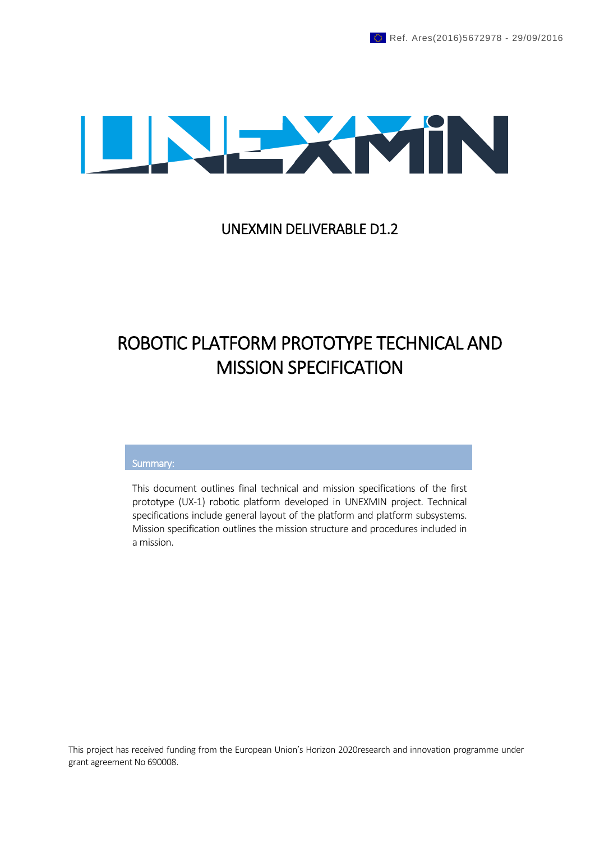

### UNEXMIN DELIVERABLE D1.2

# ROBOTIC PLATFORM PROTOTYPE TECHNICAL AND MISSION SPECIFICATION

#### Summary:

This document outlines final technical and mission specifications of the first prototype (UX-1) robotic platform developed in UNEXMIN project. Technical specifications include general layout of the platform and platform subsystems. Mission specification outlines the mission structure and procedures included in a mission.

This project has received funding from the European Union's Horizon 2020research and innovation programme under grant agreement No 690008.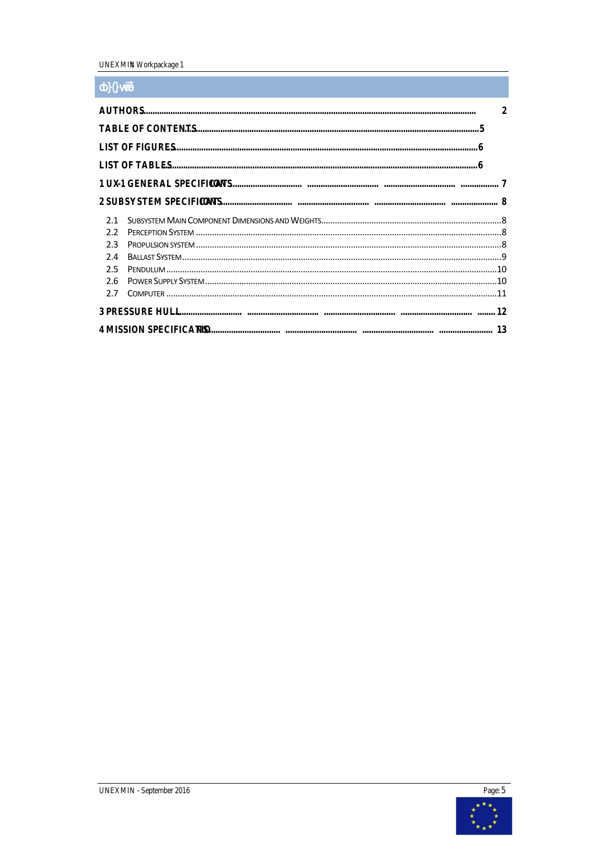UNEXMIN tWorkpackage 1

### <span id="page-4-0"></span> $\overline{d}$  0 }  $\overline{y\sin x}$

| $\sim$ $\sim$ $\sim$ $\sim$                       |    |
|---------------------------------------------------|----|
| <b>AUTHORS</b>                                    | 2  |
| TABLE OF CONTENTS                                 |    |
| <b>LIST OF FIGURES</b>                            |    |
| <b>LIST OF TABLES</b>                             |    |
| 1 UX -1 GENERAL SPECIFICAT<br><b>IONS</b><br><br> |    |
| 2 SUBSYSTEM SPECIFICAT<br><b>IONS</b><br><br>     | 8  |
| 2.1                                               |    |
| 2.2                                               |    |
| 23                                                |    |
| 2.4                                               |    |
| 25                                                | 10 |
| 26                                                |    |
| 27                                                |    |
| <b>3 PRESSURE HULL</b><br><br><br>                |    |
| 4 MISSION SPECIFICATIO                            |    |

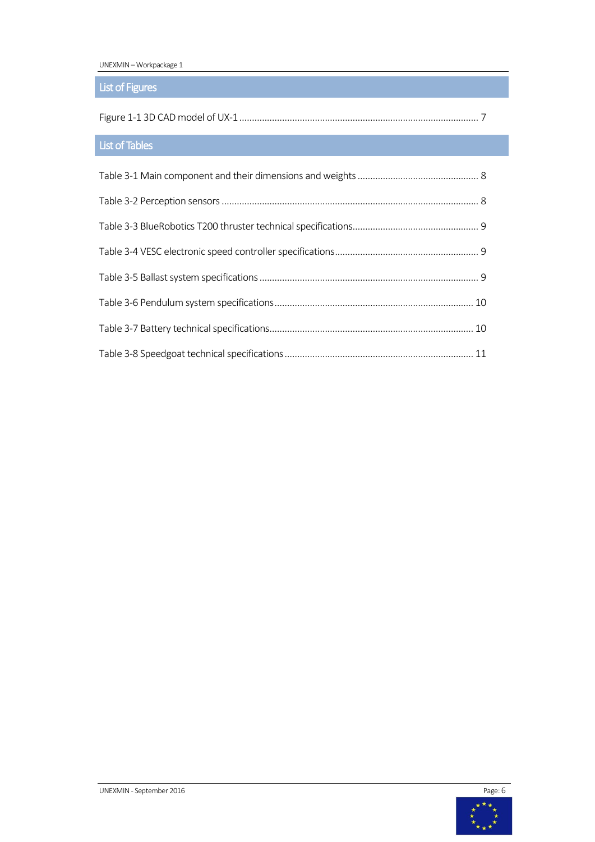UNEXMIN – Workpackage 1

### <span id="page-5-0"></span>List of Figures

|--|--|

## <span id="page-5-1"></span>List of Tables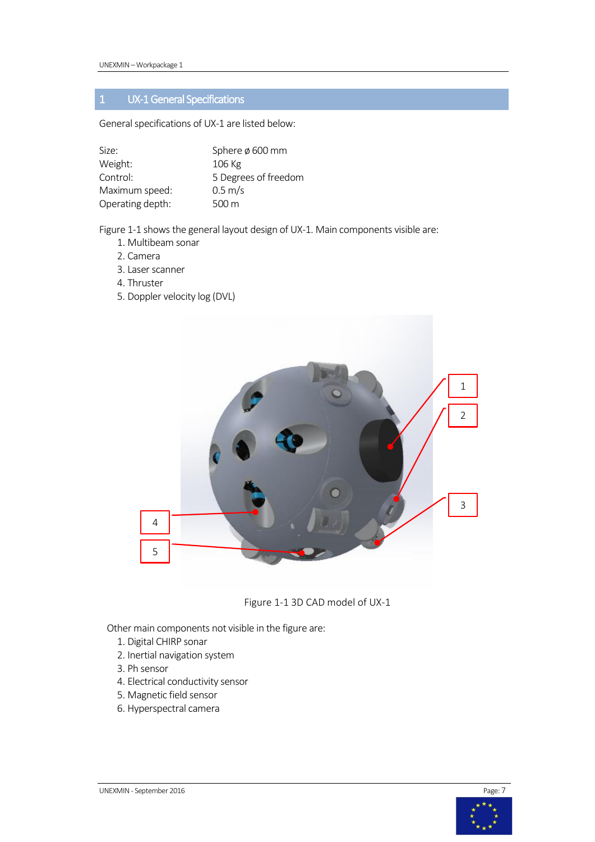### <span id="page-6-0"></span>1 UX-1 General Specifications

General specifications of UX-1 are listed below:

| Size:            | Sphere $\phi$ 600 mm |
|------------------|----------------------|
| Weight:          | 106 Kg               |
| Control:         | 5 Degrees of freedom |
| Maximum speed:   | $0.5 \text{ m/s}$    |
| Operating depth: | 500 m                |

[Figure 1-1](#page-6-1) shows the general layout design of UX-1. Main components visible are:

- 1. Multibeam sonar
- 2. Camera
- 3. Laser scanner
- 4. Thruster
- 5. Doppler velocity log (DVL)



Figure 1-1 3D CAD model of UX-1

<span id="page-6-1"></span>Other main components not visible in the figure are:

- 1. Digital CHIRP sonar
- 2. Inertial navigation system
- 3. Ph sensor
- 4. Electrical conductivity sensor
- 5. Magnetic field sensor
- 6. Hyperspectral camera

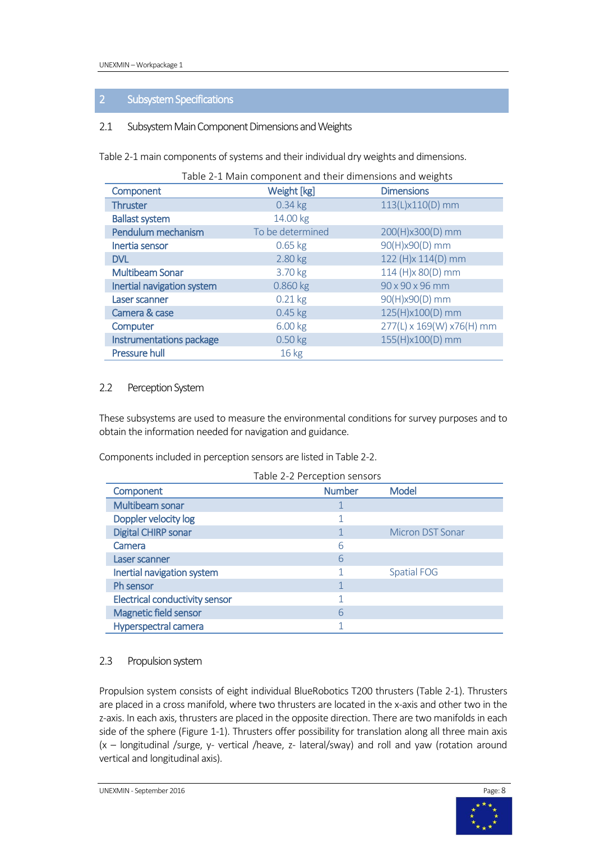#### <span id="page-7-0"></span>2 Subsystem Specifications

#### <span id="page-7-1"></span>2.1 Subsystem Main Component Dimensions and Weights

<span id="page-7-4"></span>[Table 2-1](#page-7-4) main components of systems and their individual dry weights and dimensions.

| Table 2-1 Main component and their dimensions and weights |                  |                           |
|-----------------------------------------------------------|------------------|---------------------------|
| Component                                                 | Weight [kg]      | <b>Dimensions</b>         |
| <b>Thruster</b>                                           | $0.34$ kg        | 113(L)x110(D) mm          |
| <b>Ballast system</b>                                     | 14.00 kg         |                           |
| Pendulum mechanism                                        | To be determined | 200(H)x300(D) mm          |
| Inertia sensor                                            | $0.65$ kg        | 90(H)x90(D) mm            |
| <b>DVL</b>                                                | 2.80 kg          | 122 (H)x 114(D) mm        |
| <b>Multibeam Sonar</b>                                    | 3.70 kg          | 114 (H)x 80(D) mm         |
| Inertial navigation system                                | 0.860 kg         | 90 x 90 x 96 mm           |
| Laser scanner                                             | $0.21$ kg        | 90(H)x90(D) mm            |
| Camera & case                                             | $0.45$ kg        | 125(H)x100(D) mm          |
| Computer                                                  | 6.00 kg          | 277(L) x 169(W) x76(H) mm |
| Instrumentations package                                  | $0.50$ kg        | 155(H)x100(D) mm          |
| <b>Pressure hull</b>                                      | 16 kg            |                           |

#### <span id="page-7-2"></span>2.2 Perception System

These subsystems are used to measure the environmental conditions for survey purposes and to obtain the information needed for navigation and guidance.

<span id="page-7-5"></span>Components included in perception sensors are listed i[n Table 2-2.](#page-7-5)

| Table 2-2 Perception sensors          |               |                         |
|---------------------------------------|---------------|-------------------------|
| Component                             | <b>Number</b> | <b>Model</b>            |
| Multibeam sonar                       |               |                         |
| Doppler velocity log                  |               |                         |
| <b>Digital CHIRP sonar</b>            |               | <b>Micron DST Sonar</b> |
| Camera                                | 6             |                         |
| Laser scanner                         | 6             |                         |
| Inertial navigation system            |               | <b>Spatial FOG</b>      |
| Ph sensor                             |               |                         |
| <b>Electrical conductivity sensor</b> |               |                         |
| Magnetic field sensor                 | 6             |                         |
| Hyperspectral camera                  |               |                         |

#### <span id="page-7-3"></span>2.3 Propulsion system

Propulsion system consists of eight individual BlueRobotics T200 thrusters [\(Table 2-1\)](#page-7-4). Thrusters are placed in a cross manifold, where two thrusters are located in the x-axis and other two in the z-axis. In each axis, thrusters are placed in the opposite direction. There are two manifolds in each side of the sphere [\(Figure 1-1\)](#page-6-1). Thrusters offer possibility for translation along all three main axis (x – longitudinal /surge, y- vertical /heave, z- lateral/sway) and roll and yaw (rotation around vertical and longitudinal axis).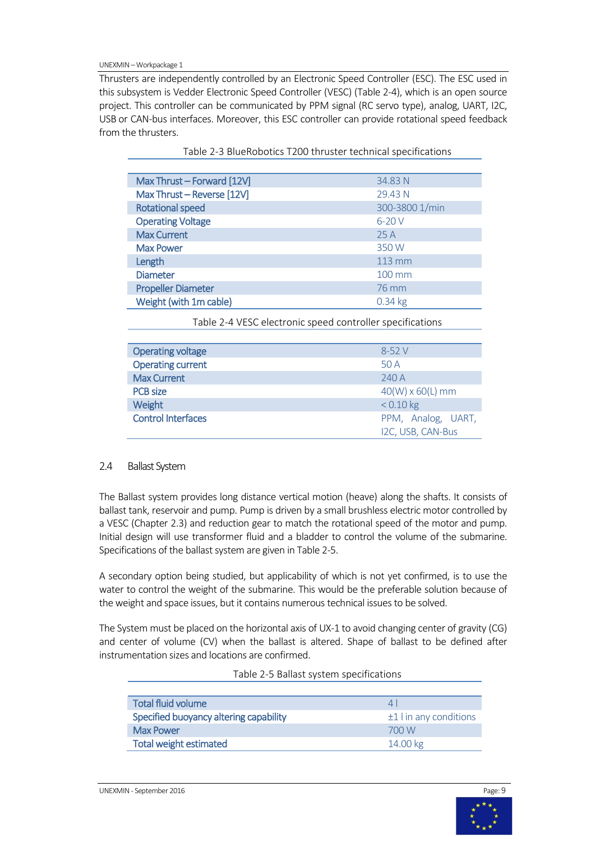UNEXMIN –Workpackage 1

Thrusters are independently controlled by an Electronic Speed Controller (ESC). The ESC used in this subsystem is Vedder Electronic Speed Controller (VESC) [\(Table 2-4\)](#page-8-2), which is an open source project. This controller can be communicated by PPM signal (RC servo type), analog, UART, I2C, USB or CAN-bus interfaces. Moreover, this ESC controller can provide rotational speed feedback from the thrusters.

<span id="page-8-1"></span>

| Max Thrust - Forward [12V]<br>34.83 N<br>Max Thrust - Reverse [12V]<br>29.43 N<br>300-3800 1/min<br><b>Rotational speed</b><br><b>Operating Voltage</b><br>$6-20V$<br><b>Max Current</b><br>25A |
|-------------------------------------------------------------------------------------------------------------------------------------------------------------------------------------------------|
|                                                                                                                                                                                                 |
|                                                                                                                                                                                                 |
|                                                                                                                                                                                                 |
|                                                                                                                                                                                                 |
|                                                                                                                                                                                                 |
| <b>Max Power</b><br>350 W                                                                                                                                                                       |
| Length<br>$113 \text{ mm}$                                                                                                                                                                      |
| <b>Diameter</b><br>100 mm                                                                                                                                                                       |
| <b>Propeller Diameter</b><br>76 mm                                                                                                                                                              |
| Weight (with 1m cable)<br>$0.34$ kg                                                                                                                                                             |

Table 2-3 BlueRobotics T200 thruster technical specifications

Table 2-4 VESC electronic speed controller specifications

<span id="page-8-2"></span>

| <b>Operating voltage</b>  | $8 - 52V$                               |
|---------------------------|-----------------------------------------|
| <b>Operating current</b>  | 50 A                                    |
| <b>Max Current</b>        | 240A                                    |
| <b>PCB</b> size           | $40(W) \times 60(L)$ mm                 |
| Weight                    | $< 0.10$ kg                             |
| <b>Control Interfaces</b> | PPM, Analog, UART,<br>I2C, USB, CAN-Bus |

#### <span id="page-8-0"></span>2.4 Ballast System

The Ballast system provides long distance vertical motion (heave) along the shafts. It consists of ballast tank, reservoir and pump. Pump is driven by a small brushless electric motor controlled by a VESC (Chapter [2.3\)](#page-7-3) and reduction gear to match the rotational speed of the motor and pump. Initial design will use transformer fluid and a bladder to control the volume of the submarine. Specifications of the ballast system are given in Table 2-5.

A secondary option being studied, but applicability of which is not yet confirmed, is to use the water to control the weight of the submarine. This would be the preferable solution because of the weight and space issues, but it contains numerous technical issues to be solved.

<span id="page-8-3"></span>The System must be placed on the horizontal axis of UX-1 to avoid changing center of gravity (CG) and center of volume (CV) when the ballast is altered. Shape of ballast to be defined after instrumentation sizes and locations are confirmed.

| <b>Total fluid volume</b>              | $\perp$                  |
|----------------------------------------|--------------------------|
| Specified buoyancy altering capability | $±1$ l in any conditions |
| <b>Max Power</b>                       | 700 W                    |
| <b>Total weight estimated</b>          | 14.00 kg                 |

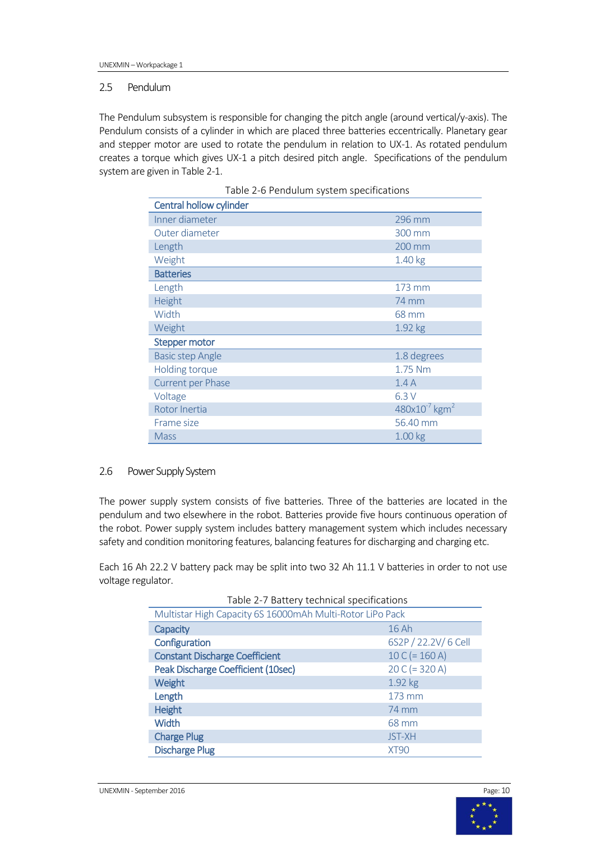#### <span id="page-9-0"></span>2.5 Pendulum

<span id="page-9-2"></span>The Pendulum subsystem is responsible for changing the pitch angle (around vertical/y-axis). The Pendulum consists of a cylinder in which are placed three batteries eccentrically. Planetary gear and stepper motor are used to rotate the pendulum in relation to UX-1. As rotated pendulum creates a torque which gives UX-1 a pitch desired pitch angle. Specifications of the pendulum system are given i[n Table 2-1.](#page-7-4)

| Central hollow cylinder  |                                |
|--------------------------|--------------------------------|
| Inner diameter           | 296 mm                         |
| Outer diameter           | 300 mm                         |
| Length                   | 200 mm                         |
| Weight                   | 1.40 kg                        |
| <b>Batteries</b>         |                                |
| Length                   | 173 mm                         |
| Height                   | <b>74 mm</b>                   |
| Width                    | 68 mm                          |
| Weight                   | 1.92 kg                        |
| <b>Stepper motor</b>     |                                |
| <b>Basic step Angle</b>  | 1.8 degrees                    |
| Holding torque           | 1.75 Nm                        |
| <b>Current per Phase</b> | 1.4A                           |
| Voltage                  | 6.3V                           |
| Rotor Inertia            | $480x10^{-7}$ kgm <sup>2</sup> |
| Frame size               | 56.40 mm                       |
| <b>Mass</b>              | 1.00 <sub>kg</sub>             |

Table 2-6 Pendulum system specifications

#### <span id="page-9-1"></span>2.6 Power Supply System

The power supply system consists of five batteries. Three of the batteries are located in the pendulum and two elsewhere in the robot. Batteries provide five hours continuous operation of the robot. Power supply system includes battery management system which includes necessary safety and condition monitoring features, balancing features for discharging and charging etc.

<span id="page-9-3"></span>Each 16 Ah 22.2 V battery pack may be split into two 32 Ah 11.1 V batteries in order to not use voltage regulator.

| Table 2-7 Battery technical specifications                |                      |
|-----------------------------------------------------------|----------------------|
| Multistar High Capacity 6S 16000mAh Multi-Rotor LiPo Pack |                      |
| Capacity                                                  | 16Ah                 |
| Configuration                                             | 6S2P / 22.2V/ 6 Cell |
| <b>Constant Discharge Coefficient</b>                     | $10 C (= 160 A)$     |
| Peak Discharge Coefficient (10sec)                        | $20 C (= 320 A)$     |
| Weight                                                    | 1.92 kg              |
| Length                                                    | 173 mm               |
| <b>Height</b>                                             | 74 mm                |
| <b>Width</b>                                              | 68 mm                |
| <b>Charge Plug</b>                                        | <b>JST-XH</b>        |
| <b>Discharge Plug</b>                                     | XT90                 |

Table 2-7 Battery technical specifications



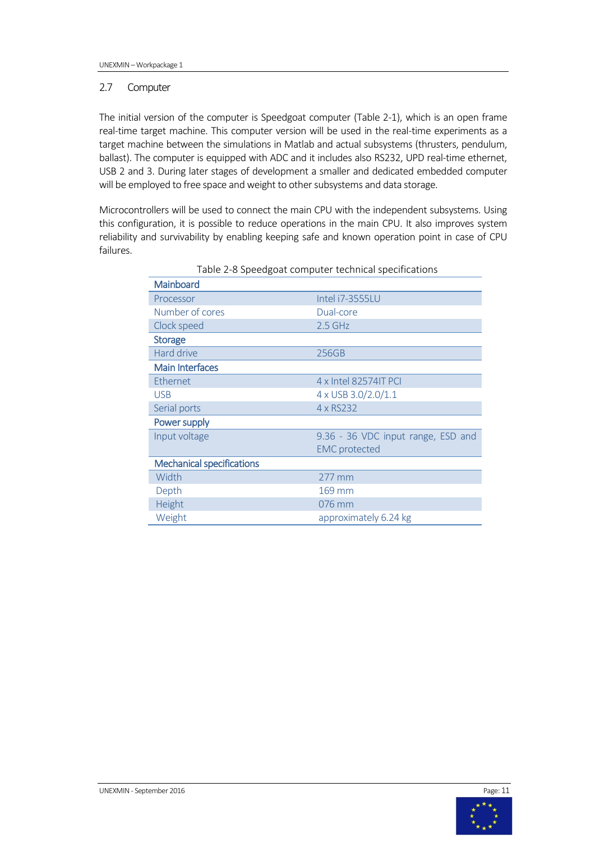#### <span id="page-10-0"></span>2.7 Computer

The initial version of the computer is Speedgoat computer [\(Table 2-1\)](#page-7-4), which is an open frame real-time target machine. This computer version will be used in the real-time experiments as a target machine between the simulations in Matlab and actual subsystems (thrusters, pendulum, ballast). The computer is equipped with ADC and it includes also RS232, UPD real-time ethernet, USB 2 and 3. During later stages of development a smaller and dedicated embedded computer will be employed to free space and weight to other subsystems and data storage.

<span id="page-10-1"></span>Microcontrollers will be used to connect the main CPU with the independent subsystems. Using this configuration, it is possible to reduce operations in the main CPU. It also improves system reliability and survivability by enabling keeping safe and known operation point in case of CPU failures.

| rapic 2 o opeeagout computer technical opeemcations |                                    |
|-----------------------------------------------------|------------------------------------|
| Mainboard                                           |                                    |
| Processor                                           | Intel i7-3555LU                    |
| Number of cores                                     | Dual-core                          |
| Clock speed                                         | $2.5$ GHz                          |
| <b>Storage</b>                                      |                                    |
| Hard drive                                          | 256GB                              |
| <b>Main Interfaces</b>                              |                                    |
| Ethernet                                            | 4 x Intel 82574IT PCI              |
| <b>USB</b>                                          | 4 x USB 3.0/2.0/1.1                |
| Serial ports                                        | 4 x RS232                          |
| Power supply                                        |                                    |
| Input voltage                                       | 9.36 - 36 VDC input range, ESD and |
|                                                     | <b>EMC</b> protected               |
| <b>Mechanical specifications</b>                    |                                    |
| Width                                               | 277 mm                             |
| Depth                                               | 169 mm                             |
| Height                                              | 076 mm                             |
| Weight                                              | approximately 6.24 kg              |

Table 2-8 Speedgoat computer technical specifications

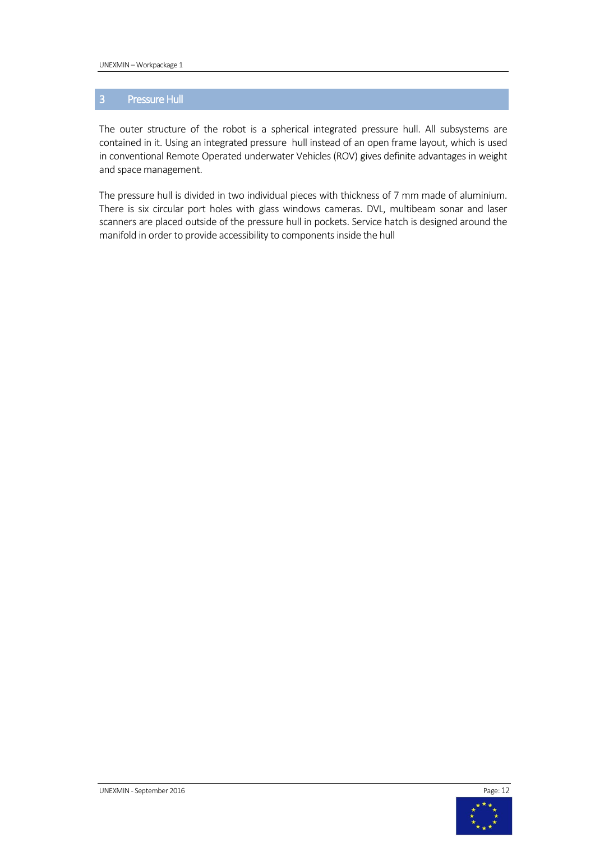#### <span id="page-11-0"></span>3 Pressure Hull

The outer structure of the robot is a spherical integrated pressure hull. All subsystems are contained in it. Using an integrated pressure hull instead of an open frame layout, which is used in conventional Remote Operated underwater Vehicles (ROV) gives definite advantages in weight and space management.

The pressure hull is divided in two individual pieces with thickness of 7 mm made of aluminium. There is six circular port holes with glass windows cameras. DVL, multibeam sonar and laser scanners are placed outside of the pressure hull in pockets. Service hatch is designed around the manifold in order to provide accessibility to components inside the hull